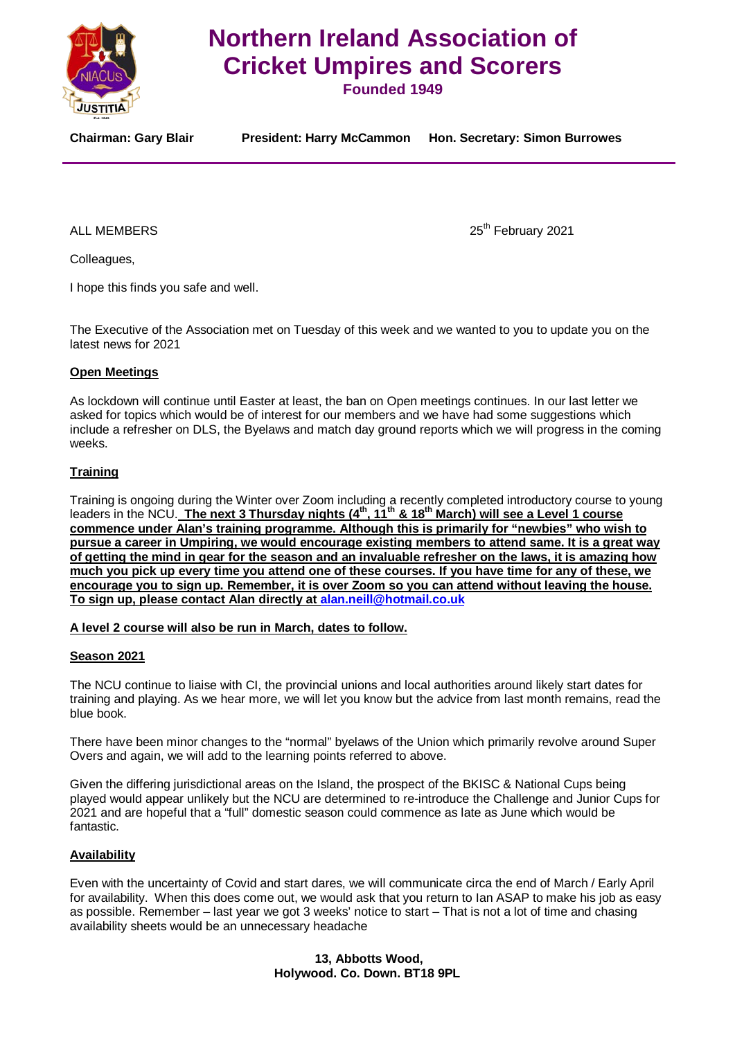

# **Northern Ireland Association of Cricket Umpires and Scorers**

**Founded 1949**

**Chairman: Gary Blair President: Harry McCammon Hon. Secretary: Simon Burrowes**

ALL MEMBERS 25<sup>th</sup> February 2021

Colleagues,

I hope this finds you safe and well.

The Executive of the Association met on Tuesday of this week and we wanted to you to update you on the latest news for 2021

# **Open Meetings**

As lockdown will continue until Easter at least, the ban on Open meetings continues. In our last letter we asked for topics which would be of interest for our members and we have had some suggestions which include a refresher on DLS, the Byelaws and match day ground reports which we will progress in the coming weeks.

# **Training**

Training is ongoing during the Winter over Zoom including a recently completed introductory course to young leaders in the NCU. The next 3 Thursday nights (4<sup>th</sup>, 11<sup>th</sup> & 18<sup>th</sup> March) will see a Level 1 course **commence under Alan's training programme. Although this is primarily for "newbies" who wish to pursue a career in Umpiring, we would encourage existing members to attend same. It is a great way of getting the mind in gear for the season and an invaluable refresher on the laws, it is amazing how much you pick up every time you attend one of these courses. If you have time for any of these, we encourage you to sign up. Remember, it is over Zoom so you can attend without leaving the house. To sign up, please contact Alan directly at [alan.neill@hotmail.co.uk](mailto:alan.neill@hotmail.co.uk)**

# **A level 2 course will also be run in March, dates to follow.**

# **Season 2021**

The NCU continue to liaise with CI, the provincial unions and local authorities around likely start dates for training and playing. As we hear more, we will let you know but the advice from last month remains, read the blue book.

There have been minor changes to the "normal" byelaws of the Union which primarily revolve around Super Overs and again, we will add to the learning points referred to above.

Given the differing jurisdictional areas on the Island, the prospect of the BKISC & National Cups being played would appear unlikely but the NCU are determined to re-introduce the Challenge and Junior Cups for 2021 and are hopeful that a "full" domestic season could commence as late as June which would be fantastic.

# **Availability**

Even with the uncertainty of Covid and start dares, we will communicate circa the end of March / Early April for availability. When this does come out, we would ask that you return to Ian ASAP to make his job as easy as possible. Remember – last year we got 3 weeks' notice to start – That is not a lot of time and chasing availability sheets would be an unnecessary headache

> **13, Abbotts Wood, Holywood. Co. Down. BT18 9PL**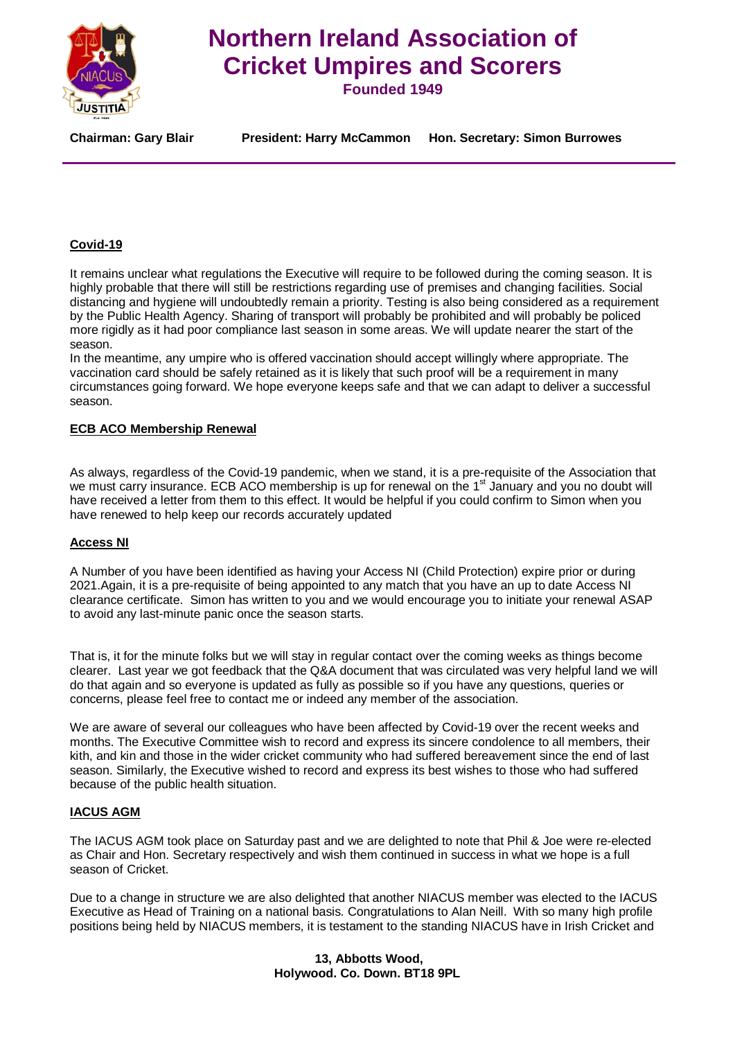

# **Northern Ireland Association of Cricket Umpires and Scorers**

**Founded 1949**

**Chairman: Gary Blair President: Harry McCammon Hon. Secretary: Simon Burrowes**

# **Covid-19**

It remains unclear what regulations the Executive will require to be followed during the coming season. It is highly probable that there will still be restrictions regarding use of premises and changing facilities. Social distancing and hygiene will undoubtedly remain a priority. Testing is also being considered as a requirement by the Public Health Agency. Sharing of transport will probably be prohibited and will probably be policed more rigidly as it had poor compliance last season in some areas. We will update nearer the start of the season.

In the meantime, any umpire who is offered vaccination should accept willingly where appropriate. The vaccination card should be safely retained as it is likely that such proof will be a requirement in many circumstances going forward. We hope everyone keeps safe and that we can adapt to deliver a successful season.

# **ECB ACO Membership Renewal**

As always, regardless of the Covid-19 pandemic, when we stand, it is a pre-requisite of the Association that we must carry insurance. ECB ACO membership is up for renewal on the 1<sup>st</sup> January and you no doubt will have received a letter from them to this effect. It would be helpful if you could confirm to Simon when you have renewed to help keep our records accurately updated

#### **Access NI**

A Number of you have been identified as having your Access NI (Child Protection) expire prior or during 2021.Again, it is a pre-requisite of being appointed to any match that you have an up to date Access NI clearance certificate. Simon has written to you and we would encourage you to initiate your renewal ASAP to avoid any last-minute panic once the season starts.

That is, it for the minute folks but we will stay in regular contact over the coming weeks as things become clearer. Last year we got feedback that the Q&A document that was circulated was very helpful land we will do that again and so everyone is updated as fully as possible so if you have any questions, queries or concerns, please feel free to contact me or indeed any member of the association.

We are aware of several our colleagues who have been affected by Covid-19 over the recent weeks and months. The Executive Committee wish to record and express its sincere condolence to all members, their kith, and kin and those in the wider cricket community who had suffered bereavement since the end of last season. Similarly, the Executive wished to record and express its best wishes to those who had suffered because of the public health situation.

# **IACUS AGM**

The IACUS AGM took place on Saturday past and we are delighted to note that Phil & Joe were re-elected as Chair and Hon. Secretary respectively and wish them continued in success in what we hope is a full season of Cricket.

Due to a change in structure we are also delighted that another NIACUS member was elected to the IACUS Executive as Head of Training on a national basis. Congratulations to Alan Neill. With so many high profile positions being held by NIACUS members, it is testament to the standing NIACUS have in Irish Cricket and

> **13, Abbotts Wood, Holywood. Co. Down. BT18 9PL**